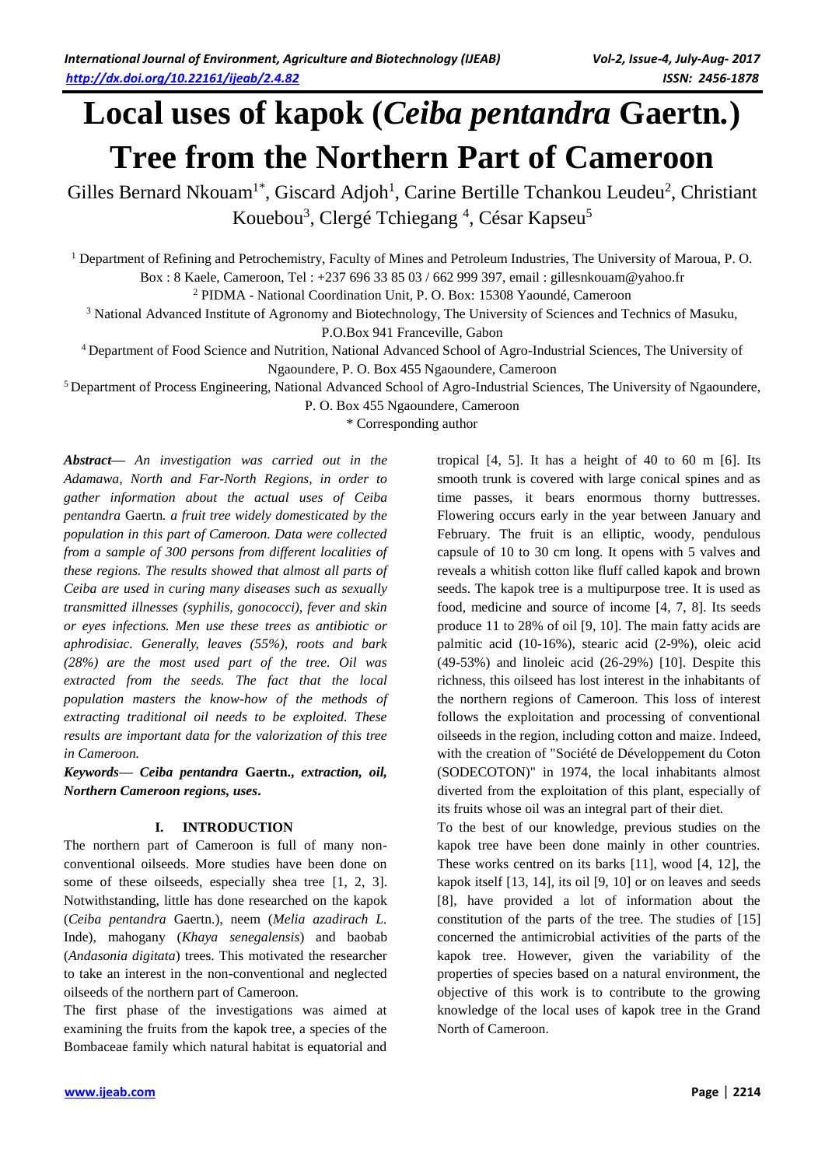# **Local uses of kapok (***Ceiba pentandra* **Gaertn***.***) Tree from the Northern Part of Cameroon**

Gilles Bernard Nkouam<sup>1\*</sup>, Giscard Adjoh<sup>1</sup>, Carine Bertille Tchankou Leudeu<sup>2</sup>, Christiant Kouebou<sup>3</sup>, Clergé Tchiegang<sup>4</sup>, César Kapseu<sup>5</sup>

<sup>1</sup> Department of Refining and Petrochemistry, Faculty of Mines and Petroleum Industries, The University of Maroua, P. O. Box : 8 Kaele, Cameroon, Tel : +237 696 33 85 03 / 662 999 397, email : gillesnkouam@yahoo.fr

<sup>2</sup> PIDMA - National Coordination Unit, P. O. Box: 15308 Yaoundé, Cameroon

<sup>3</sup> National Advanced Institute of Agronomy and Biotechnology, The University of Sciences and Technics of Masuku,

P.O.Box 941 Franceville, Gabon

<sup>4</sup>Department of Food Science and Nutrition, National Advanced School of Agro-Industrial Sciences, The University of Ngaoundere, P. O. Box 455 Ngaoundere, Cameroon

<sup>5</sup>Department of Process Engineering, National Advanced School of Agro-Industrial Sciences, The University of Ngaoundere,

P. O. Box 455 Ngaoundere, Cameroon

\* Corresponding author

*Abstract***—** *An investigation was carried out in the Adamawa, North and Far-North Regions, in order to gather information about the actual uses of Ceiba pentandra* Gaertn*. a fruit tree widely domesticated by the population in this part of Cameroon. Data were collected from a sample of 300 persons from different localities of these regions. The results showed that almost all parts of Ceiba are used in curing many diseases such as sexually transmitted illnesses (syphilis, gonococci), fever and skin or eyes infections. Men use these trees as antibiotic or aphrodisiac. Generally, leaves (55%), roots and bark (28%) are the most used part of the tree. Oil was extracted from the seeds. The fact that the local population masters the know-how of the methods of extracting traditional oil needs to be exploited. These results are important data for the valorization of this tree in Cameroon.*

*Keywords***—** *Ceiba pentandra* **Gaertn.,** *extraction, oil, Northern Cameroon regions, uses***.**

# **I. INTRODUCTION**

The northern part of Cameroon is full of many nonconventional oilseeds. More studies have been done on some of these oilseeds, especially shea tree [1, 2, 3]. Notwithstanding, little has done researched on the kapok (*Ceiba pentandra* Gaertn.), neem (*Melia azadirach L.*  Inde), mahogany (*Khaya senegalensis*) and baobab (*Andasonia digitata*) trees. This motivated the researcher to take an interest in the non-conventional and neglected oilseeds of the northern part of Cameroon.

The first phase of the investigations was aimed at examining the fruits from the kapok tree, a species of the Bombaceae family which natural habitat is equatorial and

tropical [4, 5]. It has a height of 40 to 60 m [6]. Its smooth trunk is covered with large conical spines and as time passes, it bears enormous thorny buttresses. Flowering occurs early in the year between January and February. The fruit is an elliptic, woody, pendulous [capsule](http://fr.wikipedia.org/wiki/Capsule) of 10 to 30 cm long. It opens with 5 valves and reveals a whitish cotton like fluff called kapok and brown seeds. The kapok tree is a multipurpose tree. It is used as food, medicine and source of income [4, 7, 8]. Its seeds produce 11 to 28% of oil [9, 10]. The main fatty acids are palmitic [acid \(](http://fr.wikipedia.org/wiki/Acide_palmitique)10-16%), stearic [acid \(](http://fr.wikipedia.org/wiki/Acide_st%C3%A9arique)2-9%), oleic [acid](http://fr.wikipedia.org/wiki/Acide_ol%C3%A9ique)  (49-53%) and linoleic acid (26-29%) [10]. Despite this richness, this oilseed has lost interest in the inhabitants of the northern regions of Cameroon. This loss of interest follows the exploitation and processing of conventional oilseeds in the region, including cotton and maize. Indeed, with the creation of "Société de Développement du Coton (SODECOTON)" in 1974, the local inhabitants almost diverted from the exploitation of this plant, especially of its fruits whose oil was an integral part of their diet.

To the best of our knowledge, previous studies on the kapok tree have been done mainly in other countries. These works centred on its barks [11], wood [4, 12], the kapok itself [13, 14], its oil [9, 10] or on leaves and seeds [8], have provided a lot of information about the constitution of the parts of the tree. The studies of [15] concerned the antimicrobial activities of the parts of the kapok tree. However, given the variability of the properties of species based on a natural environment, the objective of this work is to contribute to the growing knowledge of the local uses of kapok tree in the Grand North of Cameroon.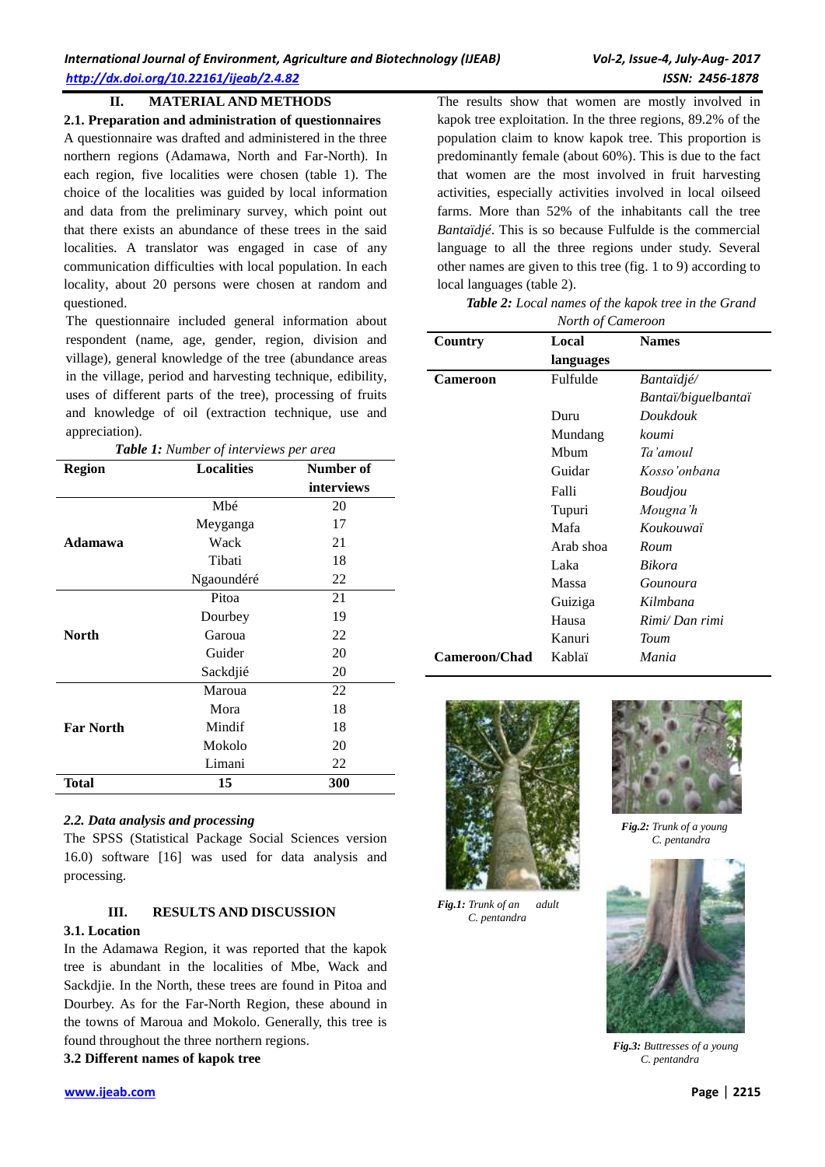## **II. MATERIAL AND METHODS**

**2.1. Preparation and administration of questionnaires** A questionnaire was drafted and administered in the three northern regions (Adamawa, North and Far-North). In each region, five localities were chosen (table 1). The choice of the localities was guided by local information and data from the preliminary survey, which point out that there exists an abundance of these trees in the said localities. A translator was engaged in case of any communication difficulties with local population. In each locality, about 20 persons were chosen at random and questioned.

The questionnaire included general information about respondent (name, age, gender, region, division and village), general knowledge of the tree (abundance areas in the village, period and harvesting technique, edibility, uses of different parts of the tree), processing of fruits and knowledge of oil (extraction technique, use and appreciation).

|  |  |  | <b>Table 1:</b> Number of interviews per area |  |  |
|--|--|--|-----------------------------------------------|--|--|
|--|--|--|-----------------------------------------------|--|--|

| <b>Region</b>    | <b>Localities</b> | Number of  |
|------------------|-------------------|------------|
|                  |                   | interviews |
|                  | Mbé               | 20         |
|                  | Meyganga          | 17         |
| Adamawa          | Wack              | 21         |
|                  | Tibati            | 18         |
|                  | Ngaoundéré        | 22         |
|                  | Pitoa             | 21         |
|                  | Dourbey           | 19         |
| North            | Garoua            | 22         |
|                  | Guider            | 20         |
|                  | Sackdjié          | 20         |
|                  | Maroua            | 22         |
|                  | Mora              | 18         |
| <b>Far North</b> | Mindif            | 18         |
|                  | Mokolo            | 20         |
|                  | Limani            | 22         |
| <b>Total</b>     | 15                | 300        |

#### *2.2. Data analysis and processing*

The SPSS (Statistical Package Social Sciences version 16.0) software [16] was used for data analysis and processing.

# **III. RESULTS AND DISCUSSION**

#### **3.1. Location**

In the Adamawa Region, it was reported that the kapok tree is abundant in the localities of Mbe, Wack and Sackdjie. In the North, these trees are found in Pitoa and Dourbey. As for the Far-North Region, these abound in the towns of Maroua and Mokolo. Generally, this tree is found throughout the three northern regions.

**3.2 Different names of kapok tree**

The results show that women are mostly involved in kapok tree exploitation. In the three regions, 89.2% of the population claim to know kapok tree. This proportion is predominantly female (about 60%). This is due to the fact that women are the most involved in fruit harvesting activities, especially activities involved in local oilseed farms. More than 52% of the inhabitants call the tree *Bantaïdjé*. This is so because Fulfulde is the commercial language to all the three regions under study. Several other names are given to this tree (fig. 1 to 9) according to local languages (table 2).

*Table 2: Local names of the kapok tree in the Grand* 

| North of Cameroon    |           |                     |  |  |
|----------------------|-----------|---------------------|--|--|
| Country              | Local     | <b>Names</b>        |  |  |
|                      | languages |                     |  |  |
| Cameroon             | Fulfulde  | <i>Bantaïdjé/</i>   |  |  |
|                      |           | Bantaï/biguelbantaï |  |  |
|                      | Duru      | Doukdouk            |  |  |
|                      | Mundang   | koumi               |  |  |
|                      | Mbum      | Ta'amoul            |  |  |
|                      | Guidar    | Kosso'onbana        |  |  |
|                      | Falli     | <i>Boudjou</i>      |  |  |
|                      | Tupuri    | Mougna'h            |  |  |
|                      | Mafa      | Koukouwaï           |  |  |
|                      | Arab shoa | Roum                |  |  |
|                      | Laka      | <b>Bikora</b>       |  |  |
|                      | Massa     | Gounoura            |  |  |
|                      | Guiziga   | Kilmbana            |  |  |
|                      | Hausa     | Rimi/Dan rimi       |  |  |
|                      | Kanuri    | Toum                |  |  |
| <b>Cameroon/Chad</b> | Kablaï    | Mania               |  |  |
|                      |           |                     |  |  |



*Fig.1: Trunk of an adult C. pentandra*



*Fig.2: Trunk of a young C. pentandra*



*Fig.3: Buttresses of a young C. pentandra*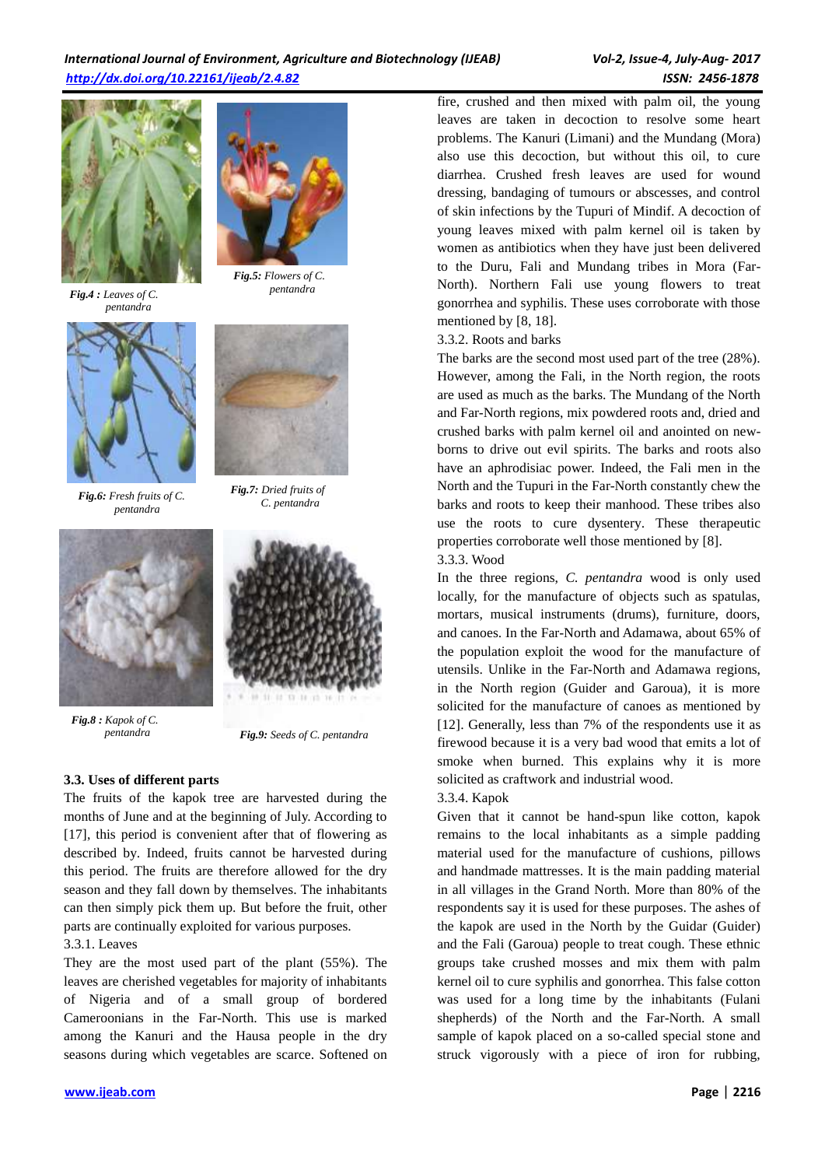

*Fig.4 : Leaves of C. pentandra*



*Fig.6: Fresh fruits of C. pentandra*



*Fig.5: Flowers of C. pentandra* 



*Fig.7: Dried fruits of C. pentandra*



*Fig.8 : Kapok of C.*



 *pentandra Fig.9: Seeds of C. pentandra*

# **3.3. Uses of different parts**

The fruits of the kapok tree are harvested during the months of June and at the beginning of July. According to [17], this period is convenient after that of flowering as described by. Indeed, fruits cannot be harvested during this period. The fruits are therefore allowed for the dry season and they fall down by themselves. The inhabitants can then simply pick them up. But before the fruit, other parts are continually exploited for various purposes. 3.3.1. Leaves

They are the most used part of the plant (55%). The leaves are cherished vegetables for majority of inhabitants of Nigeria and of a small group of bordered Cameroonians in the Far-North. This use is marked among the Kanuri and the Hausa people in the dry seasons during which vegetables are scarce. Softened on fire, crushed and then mixed with palm oil, the young leaves are taken in decoction to resolve some heart problems. The Kanuri (Limani) and the Mundang (Mora) also use this decoction, but without this oil, to cure diarrhea. Crushed fresh leaves are used for wound dressing, bandaging of tumours or abscesses, and control of skin infections by the Tupuri of Mindif. A decoction of young leaves mixed with palm kernel oil is taken by women as antibiotics when they have just been delivered to the Duru, Fali and Mundang tribes in Mora (Far-North). Northern Fali use young flowers to treat gonorrhea and syphilis. These uses corroborate with those mentioned by [8, 18].

# 3.3.2. Roots and barks

The barks are the second most used part of the tree (28%). However, among the Fali, in the North region, the roots are used as much as the barks. The Mundang of the North and Far-North regions, mix powdered roots and, dried and crushed barks with palm kernel oil and anointed on newborns to drive out evil spirits. The barks and roots also have an aphrodisiac power. Indeed, the Fali men in the North and the Tupuri in the Far-North constantly chew the barks and roots to keep their manhood. These tribes also use the roots to cure dysentery. These therapeutic properties corroborate well those mentioned by [8].

# 3.3.3. Wood

In the three regions, *C. pentandra* wood is only used locally, for the manufacture of objects such as spatulas, mortars, musical instruments (drums), furniture, doors, and canoes. In the Far-North and Adamawa, about 65% of the population exploit the wood for the manufacture of utensils. Unlike in the Far-North and Adamawa regions, in the North region (Guider and Garoua), it is more solicited for the manufacture of canoes as mentioned by [12]. Generally, less than 7% of the respondents use it as firewood because it is a very bad wood that emits a lot of smoke when burned. This explains why it is more solicited as craftwork and industrial wood.

# 3.3.4. Kapok

Given that it cannot be hand-spun like cotton, kapok remains to the local inhabitants as a simple padding material used for the manufacture of cushions, pillows and handmade mattresses. It is the main padding material in all villages in the Grand North. More than 80% of the respondents say it is used for these purposes. The ashes of the kapok are used in the North by the Guidar (Guider) and the Fali (Garoua) people to treat cough. These ethnic groups take crushed mosses and mix them with palm kernel oil to cure syphilis and gonorrhea. This false cotton was used for a long time by the inhabitants (Fulani shepherds) of the North and the Far-North. A small sample of kapok placed on a so-called special stone and struck vigorously with a piece of iron for rubbing,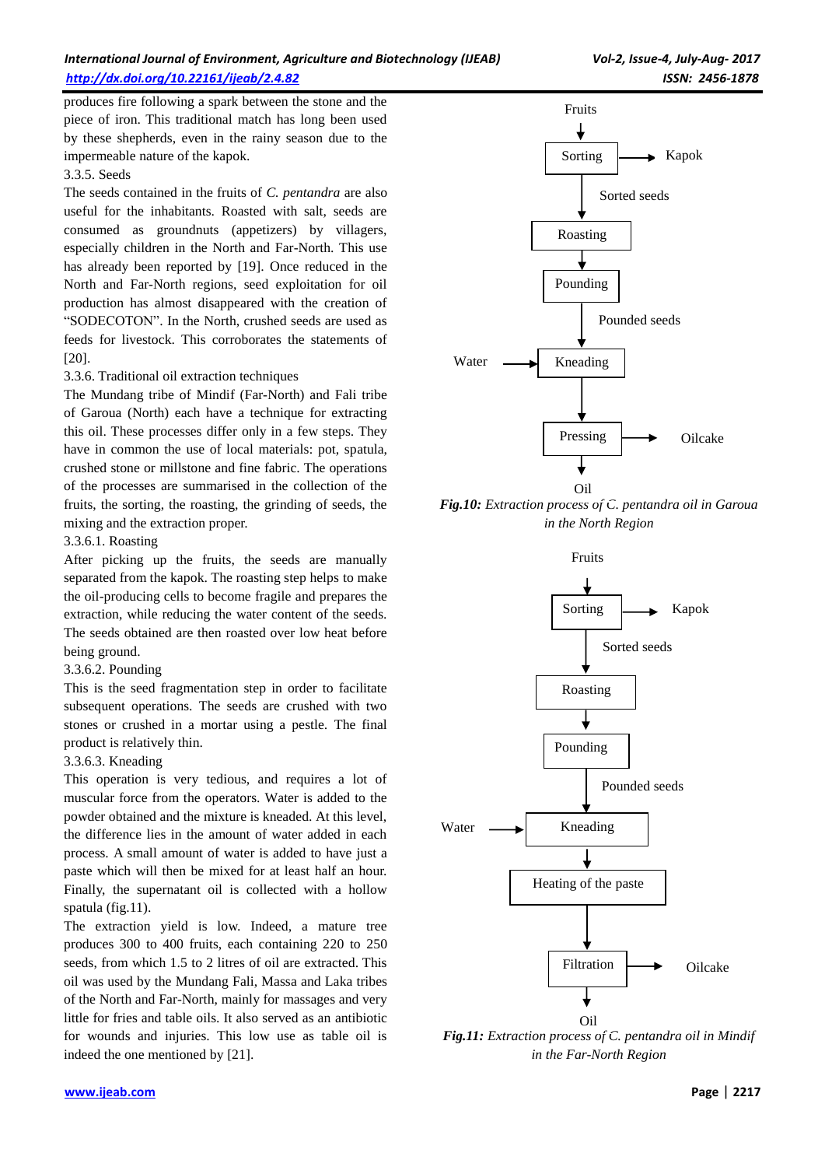# *International Journal of Environment, Agriculture and Biotechnology (IJEAB) Vol-2, Issue-4, July-Aug- 2017 <http://dx.doi.org/10.22161/ijeab/2.4.82>ISSN: 2456-1878*

produces fire following a spark between the stone and the piece of iron. This traditional match has long been used by these shepherds, even in the rainy season due to the impermeable nature of the kapok.

#### 3.3.5. Seeds

The seeds contained in the fruits of *C. pentandra* are also useful for the inhabitants. Roasted with salt, seeds are consumed as groundnuts (appetizers) by villagers, especially children in the North and Far-North. This use has already been reported by [19]. Once reduced in the North and Far-North regions, seed exploitation for oil production has almost disappeared with the creation of "SODECOTON". In the North, crushed seeds are used as feeds for livestock. This corroborates the statements of [20].

#### 3.3.6. Traditional oil extraction techniques

The Mundang tribe of Mindif (Far-North) and Fali tribe of Garoua (North) each have a technique for extracting this oil. These processes differ only in a few steps. They have in common the use of local materials: pot, spatula, crushed stone or millstone and fine fabric. The operations of the processes are summarised in the collection of the fruits, the sorting, the roasting, the grinding of seeds, the mixing and the extraction proper.

#### 3.3.6.1. Roasting

After picking up the fruits, the seeds are manually separated from the kapok. The roasting step helps to make the oil-producing cells to become fragile and prepares the extraction, while reducing the water content of the seeds. The seeds obtained are then roasted over low heat before being ground.

#### 3.3.6.2. Pounding

This is the seed fragmentation step in order to facilitate subsequent operations. The seeds are crushed with two stones or crushed in a mortar using a pestle. The final product is relatively thin.

#### 3.3.6.3. Kneading

This operation is very tedious, and requires a lot of muscular force from the operators. Water is added to the powder obtained and the mixture is kneaded. At this level, the difference lies in the amount of water added in each process. A small amount of water is added to have just a paste which will then be mixed for at least half an hour. Finally, the supernatant oil is collected with a hollow spatula (fig.11).

The extraction yield is low. Indeed, a mature tree produces 300 to 400 fruits, each containing 220 to 250 seeds, from which 1.5 to 2 litres of oil are extracted. This oil was used by the Mundang Fali, Massa and Laka tribes of the North and Far-North, mainly for massages and very little for fries and table oils. It also served as an antibiotic for wounds and injuries. This low use as table oil is indeed the one mentioned by [21].



*Fig.10: Extraction process of C. pentandra oil in Garoua in the North Region*

Fruits



*Fig.11: Extraction process of C. pentandra oil in Mindif in the Far-North Region*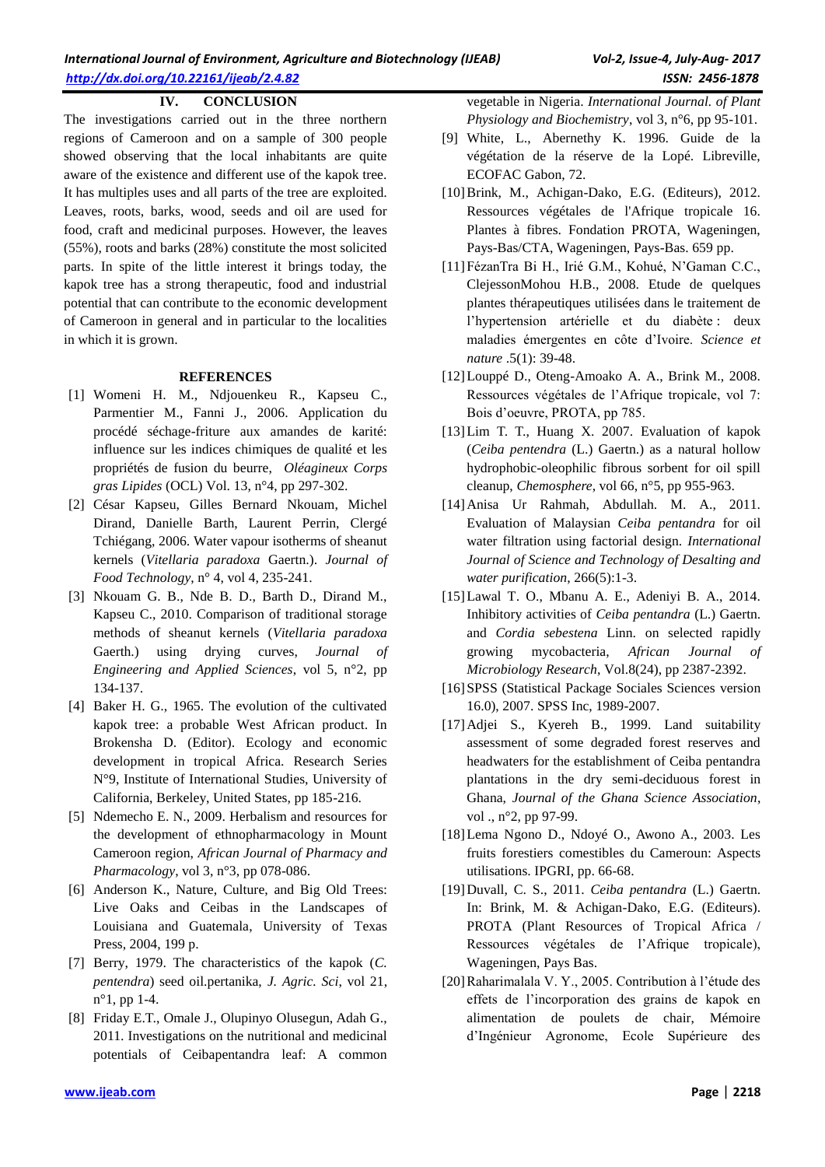## **IV. CONCLUSION**

The investigations carried out in the three northern regions of Cameroon and on a sample of 300 people showed observing that the local inhabitants are quite aware of the existence and different use of the kapok tree. It has multiples uses and all parts of the tree are exploited. Leaves, roots, barks, wood, seeds and oil are used for food, craft and medicinal purposes. However, the leaves (55%), roots and barks (28%) constitute the most solicited parts. In spite of the little interest it brings today, the kapok tree has a strong therapeutic, food and industrial potential that can contribute to the economic development of Cameroon in general and in particular to the localities in which it is grown.

#### **REFERENCES**

- [1] Womeni H. M., Ndjouenkeu R., Kapseu C., Parmentier M., Fanni J., 2006. Application du procédé séchage-friture aux amandes de karité: influence sur les indices chimiques de qualité et les propriétés de fusion du beurre, *Oléagineux Corps gras Lipides* (OCL) Vol. 13, n°4, pp 297-302.
- [2] César Kapseu, Gilles Bernard Nkouam, Michel Dirand, Danielle Barth, Laurent Perrin, Clergé Tchiégang, 2006. Water vapour isotherms of sheanut kernels (*Vitellaria paradoxa* Gaertn.). *Journal of Food Technology*, n° 4, vol 4, 235-241.
- [3] Nkouam G. B., Nde B. D., Barth D., Dirand M., Kapseu C., 2010. Comparison of traditional storage methods of sheanut kernels (*Vitellaria paradoxa* Gaerth.) using drying curves, *Journal of Engineering and Applied Sciences*, vol 5, n°2, pp 134-137.
- [4] Baker H. G., 1965. The evolution of the cultivated kapok tree: a probable West African product. In Brokensha D. (Editor). Ecology and economic development in tropical Africa. Research Series N°9, Institute of International Studies, University of California, Berkeley, United States, pp 185-216.
- [5] Ndemecho E. N., 2009. Herbalism and resources for the development of ethnopharmacology in Mount Cameroon region, *African Journal of Pharmacy and Pharmacology*, vol 3, n°3, pp 078-086.
- [6] Anderson K., Nature, Culture, and Big Old Trees: Live Oaks and Ceibas in the Landscapes of Louisiana and Guatemala, University of Texas Press, 2004, 199 p.
- [7] Berry, 1979. The characteristics of the kapok (*C. pentendra*) seed oil.pertanika, *J. Agric. Sci*, vol 21, n°1, pp 1-4.
- [8] Friday E.T., Omale J., Olupinyo Olusegun, Adah G., 2011. Investigations on the nutritional and medicinal potentials of Ceibapentandra leaf: A common

vegetable in Nigeria. *International Journal. of Plant Physiology and Biochemistry*, vol 3, n°6, pp 95-101.

- [9] White, L., Abernethy K. 1996. Guide de la végétation de la réserve de la Lopé. Libreville, ECOFAC Gabon, 72.
- [10]Brink, M., Achigan-Dako, E.G. (Editeurs), 2012. Ressources végétales de l'Afrique tropicale 16. Plantes à fibres. Fondation PROTA, Wageningen, Pays-Bas/CTA, Wageningen, Pays-Bas. 659 pp.
- [11]FézanTra Bi H., Irié G.M., Kohué, N'Gaman C.C., ClejessonMohou H.B., 2008. Etude de quelques plantes thérapeutiques utilisées dans le traitement de l'hypertension artérielle et du diabète : deux maladies émergentes en côte d'Ivoire. *Science et nature* .5(1): 39-48.
- [12]Louppé D., Oteng-Amoako A. A., Brink M., 2008. Ressources végétales de l'Afrique tropicale, vol 7: Bois d'oeuvre, PROTA, pp 785.
- [13]Lim T. T., Huang X. 2007. Evaluation of kapok (*Ceiba pentendra* (L.) Gaertn.) as a natural hollow hydrophobic-oleophilic fibrous sorbent for oil spill cleanup, *Chemosphere*, vol 66, n°5, pp 955-963.
- [14]Anisa Ur Rahmah, Abdullah. M. A., 2011. Evaluation of Malaysian *Ceiba pentandra* for oil water filtration using factorial design. *International Journal of Science and Technology of Desalting and water purification*, 266(5):1-3.
- [15]Lawal T. O., Mbanu A. E., Adeniyi B. A., 2014. Inhibitory activities of *Ceiba pentandra* (L.) Gaertn. and *Cordia sebestena* Linn. on selected rapidly growing mycobacteria, *African Journal of Microbiology Research*, Vol.8(24), pp 2387-2392.
- [16]SPSS (Statistical Package Sociales Sciences version 16.0), 2007. SPSS Inc, 1989-2007.
- [17]Adjei S., Kyereh B., 1999. Land suitability assessment of some degraded forest reserves and headwaters for the establishment of Ceiba pentandra plantations in the dry semi-deciduous forest in Ghana, *Journal of the Ghana Science Association*, vol ., n°2, pp 97-99.
- [18]Lema Ngono D., Ndoyé O., Awono A., 2003. Les fruits forestiers comestibles du Cameroun: Aspects utilisations. IPGRI, pp. 66-68.
- [19]Duvall, C. S., 2011. *Ceiba pentandra* (L.) Gaertn. In: Brink, M. & Achigan-Dako, E.G. (Editeurs). PROTA (Plant Resources of Tropical Africa / Ressources végétales de l'Afrique tropicale), Wageningen, Pays Bas.
- [20]Raharimalala V. Y., 2005. Contribution à l'étude des effets de l'incorporation des grains de kapok en alimentation de poulets de chair, Mémoire d'Ingénieur Agronome, Ecole Supérieure des